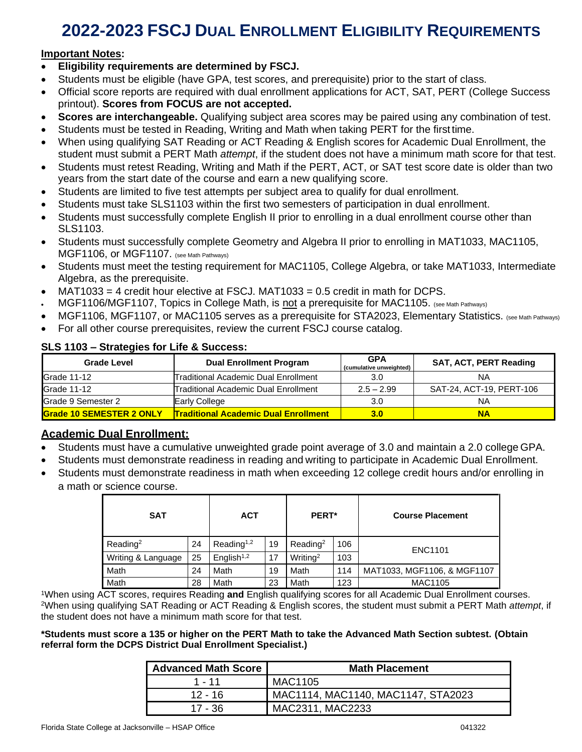# **2022-2023 FSCJ DUAL ENROLLMENT ELIGIBILITY REQUIREMENTS**

#### **Important Notes:**

- **Eligibility requirements are determined by FSCJ.**
- Students must be eligible (have GPA, test scores, and prerequisite) prior to the start of class.
- Official score reports are required with dual enrollment applications for ACT, SAT, PERT (College Success printout). **Scores from FOCUS are not accepted.**
- **Scores are interchangeable.** Qualifying subject area scores may be paired using any combination of test.
- Students must be tested in Reading, Writing and Math when taking PERT for the first time.
- When using qualifying SAT Reading or ACT Reading & English scores for Academic Dual Enrollment, the student must submit a PERT Math *attempt*, if the student does not have a minimum math score for that test.
- Students must retest Reading, Writing and Math if the PERT, ACT, or SAT test score date is older than two years from the start date of the course and earn a new qualifying score.
- Students are limited to five test attempts per subject area to qualify for dual enrollment.
- Students must take SLS1103 within the first two semesters of participation in dual enrollment.
- Students must successfully complete English II prior to enrolling in a dual enrollment course other than SLS1103.
- Students must successfully complete Geometry and Algebra II prior to enrolling in MAT1033, MAC1105, MGF1106, or MGF1107. (see Math Pathways)
- Students must meet the testing requirement for MAC1105, College Algebra, or take MAT1033, Intermediate Algebra, as the prerequisite.
- MAT1033 = 4 credit hour elective at FSCJ. MAT1033 = 0.5 credit in math for DCPS.
- MGF1106/MGF1107, Topics in College Math, is not a prerequisite for MAC1105. (see Math Pathways)
- MGF1106, MGF1107, or MAC1105 serves as a prerequisite for STA2023, Elementary Statistics. (see Math Pathways)
- For all other course prerequisites, review the current FSCJ course catalog.

| <b>Grade Level</b>              | <b>Dual Enrollment Program</b>              | <b>GPA</b><br>(cumulative unweighted) | SAT, ACT, PERT Reading   |
|---------------------------------|---------------------------------------------|---------------------------------------|--------------------------|
| <b>Grade 11-12</b>              | Traditional Academic Dual Enrollment        | 3.0                                   | <b>NA</b>                |
| Grade 11-12                     | Traditional Academic Dual Enrollment        | $2.5 - 2.99$                          | SAT-24, ACT-19, PERT-106 |
| Grade 9 Semester 2              | Early College                               | 3.0                                   | <b>NA</b>                |
| <b>Grade 10 SEMESTER 2 ONLY</b> | <b>Traditional Academic Dual Enrollment</b> | 3.0                                   | <b>NA</b>                |

#### **SLS 1103 – Strategies for Life & Success:**

### **Academic Dual Enrollment:**

- Students must have a cumulative unweighted grade point average of 3.0 and maintain a 2.0 college GPA.
- Students must demonstrate readiness in reading and writing to participate in Academic Dual Enrollment.
- Students must demonstrate readiness in math when exceeding 12 college credit hours and/or enrolling in a math or science course.

| <b>SAT</b>           |    | <b>ACT</b>                          |    | PERT*                |     | <b>Course Placement</b>     |
|----------------------|----|-------------------------------------|----|----------------------|-----|-----------------------------|
| Reading <sup>2</sup> | 24 | Reading <sup><math>1,2</math></sup> | 19 | Reading <sup>2</sup> | 106 | <b>ENC1101</b>              |
| Writing & Language   | 25 | English $1,2$                       | 17 | Writing <sup>2</sup> | 103 |                             |
| Math                 | 24 | Math                                | 19 | Math                 | 114 | MAT1033, MGF1106, & MGF1107 |
| Math                 | 28 | Math                                | 23 | Math                 | 123 | <b>MAC1105</b>              |

<sup>1</sup>When using ACT scores, requires Reading **and** English qualifying scores for all Academic Dual Enrollment courses. <sup>2</sup>When using qualifying SAT Reading or ACT Reading & English scores, the student must submit a PERT Math *attempt*, if the student does not have a minimum math score for that test.

#### **\*Students must score a 135 or higher on the PERT Math to take the Advanced Math Section subtest. (Obtain referral form the DCPS District Dual Enrollment Specialist.)**

| <b>Advanced Math Score</b> | <b>Math Placement</b>              |
|----------------------------|------------------------------------|
| $1 - 11$                   | <b>MAC1105</b>                     |
| $12 - 16$                  | MAC1114, MAC1140, MAC1147, STA2023 |
| 17 - 36                    | MAC2311, MAC2233                   |